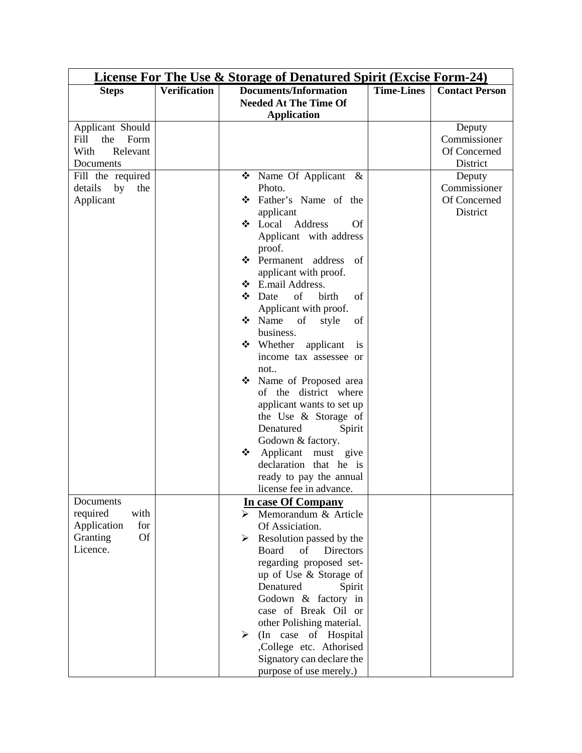| <b>License For The Use &amp; Storage of Denatured Spirit (Excise Form-24)</b> |                     |                                          |                   |                       |  |  |  |
|-------------------------------------------------------------------------------|---------------------|------------------------------------------|-------------------|-----------------------|--|--|--|
| <b>Steps</b>                                                                  | <b>Verification</b> | <b>Documents/Information</b>             | <b>Time-Lines</b> | <b>Contact Person</b> |  |  |  |
|                                                                               |                     | <b>Needed At The Time Of</b>             |                   |                       |  |  |  |
|                                                                               |                     | <b>Application</b>                       |                   |                       |  |  |  |
| Applicant Should                                                              |                     |                                          |                   | Deputy                |  |  |  |
| Fill<br>Form<br>the                                                           |                     |                                          |                   | Commissioner          |  |  |  |
| With<br>Relevant                                                              |                     |                                          |                   | Of Concerned          |  |  |  |
| Documents                                                                     |                     |                                          |                   | District              |  |  |  |
| Fill the required                                                             |                     | ❖<br>Name Of Applicant $\&$              |                   | Deputy                |  |  |  |
| details<br>by<br>the                                                          |                     | Photo.                                   |                   | Commissioner          |  |  |  |
| Applicant                                                                     |                     | Father's Name of the<br>❖                |                   | Of Concerned          |  |  |  |
|                                                                               |                     | applicant                                |                   | District              |  |  |  |
|                                                                               |                     | Local<br>Address<br>❖<br><b>Of</b>       |                   |                       |  |  |  |
|                                                                               |                     | Applicant with address                   |                   |                       |  |  |  |
|                                                                               |                     | proof.                                   |                   |                       |  |  |  |
|                                                                               |                     | ❖ Permanent address<br>of                |                   |                       |  |  |  |
|                                                                               |                     | applicant with proof.                    |                   |                       |  |  |  |
|                                                                               |                     | ❖ E.mail Address.                        |                   |                       |  |  |  |
|                                                                               |                     | of<br>❖<br>Date<br>birth<br>of           |                   |                       |  |  |  |
|                                                                               |                     | Applicant with proof.                    |                   |                       |  |  |  |
|                                                                               |                     | Name<br>❖<br>of<br>style<br>of           |                   |                       |  |  |  |
|                                                                               |                     | business.                                |                   |                       |  |  |  |
|                                                                               |                     | $\div$ Whether<br>applicant<br><i>is</i> |                   |                       |  |  |  |
|                                                                               |                     | income tax assessee or                   |                   |                       |  |  |  |
|                                                                               |                     | not                                      |                   |                       |  |  |  |
|                                                                               |                     | Name of Proposed area<br>❖               |                   |                       |  |  |  |
|                                                                               |                     | of the district where                    |                   |                       |  |  |  |
|                                                                               |                     | applicant wants to set up                |                   |                       |  |  |  |
|                                                                               |                     | the Use & Storage of                     |                   |                       |  |  |  |
|                                                                               |                     | Denatured<br>Spirit                      |                   |                       |  |  |  |
|                                                                               |                     | Godown & factory.                        |                   |                       |  |  |  |
|                                                                               |                     | Applicant must give<br>❖                 |                   |                       |  |  |  |
|                                                                               |                     | declaration that he is                   |                   |                       |  |  |  |
|                                                                               |                     | ready to pay the annual                  |                   |                       |  |  |  |
|                                                                               |                     | license fee in advance.                  |                   |                       |  |  |  |
| Documents                                                                     |                     | <b>In case Of Company</b>                |                   |                       |  |  |  |
| required<br>with                                                              |                     | $\triangleright$ Memorandum & Article    |                   |                       |  |  |  |
| Application<br>for                                                            |                     | Of Assiciation.                          |                   |                       |  |  |  |
| <b>Of</b><br>Granting                                                         |                     | Resolution passed by the<br>≻            |                   |                       |  |  |  |
| Licence.                                                                      |                     | Board<br>of<br><b>Directors</b>          |                   |                       |  |  |  |
|                                                                               |                     | regarding proposed set-                  |                   |                       |  |  |  |
|                                                                               |                     | up of Use & Storage of                   |                   |                       |  |  |  |
|                                                                               |                     | Denatured<br>Spirit                      |                   |                       |  |  |  |
|                                                                               |                     | Godown & factory in                      |                   |                       |  |  |  |
|                                                                               |                     | case of Break Oil or                     |                   |                       |  |  |  |
|                                                                               |                     | other Polishing material.                |                   |                       |  |  |  |
|                                                                               |                     | (In case of Hospital<br>➤                |                   |                       |  |  |  |
|                                                                               |                     | ,College etc. Athorised                  |                   |                       |  |  |  |
|                                                                               |                     | Signatory can declare the                |                   |                       |  |  |  |
|                                                                               |                     | purpose of use merely.)                  |                   |                       |  |  |  |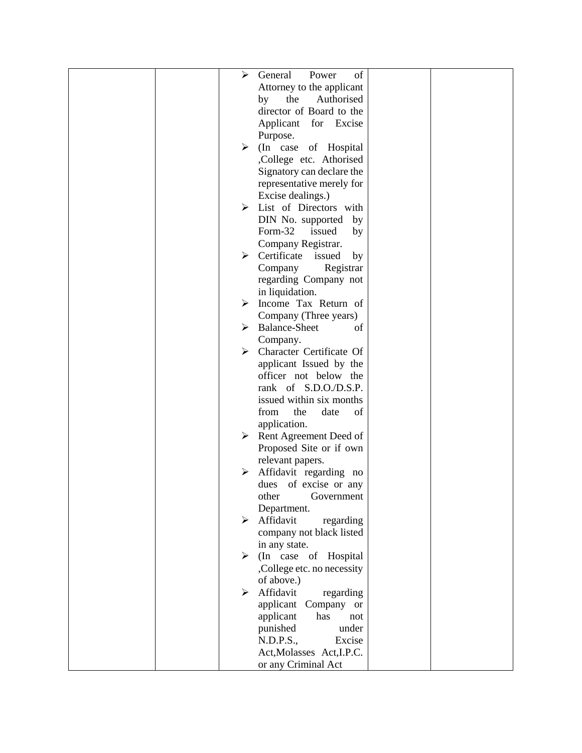|  | ➤                     | General<br>of<br>Power                                                                                                    |  |
|--|-----------------------|---------------------------------------------------------------------------------------------------------------------------|--|
|  |                       | Attorney to the applicant                                                                                                 |  |
|  |                       | the<br>Authorised<br>by                                                                                                   |  |
|  |                       | director of Board to the                                                                                                  |  |
|  |                       | Applicant for Excise                                                                                                      |  |
|  |                       | Purpose.                                                                                                                  |  |
|  | ≻                     | (In case of Hospital                                                                                                      |  |
|  |                       | ,College etc. Athorised                                                                                                   |  |
|  |                       | Signatory can declare the                                                                                                 |  |
|  |                       | representative merely for                                                                                                 |  |
|  |                       | Excise dealings.)                                                                                                         |  |
|  | ➤                     | List of Directors with                                                                                                    |  |
|  |                       | DIN No. supported<br>by                                                                                                   |  |
|  |                       | Form-32<br>issued<br>by                                                                                                   |  |
|  |                       | Company Registrar.                                                                                                        |  |
|  | ➤                     | Certificate issued<br>by                                                                                                  |  |
|  |                       | Registrar<br>Company                                                                                                      |  |
|  |                       | regarding Company not                                                                                                     |  |
|  |                       | in liquidation.                                                                                                           |  |
|  | ➤                     | Income Tax Return of                                                                                                      |  |
|  |                       | Company (Three years)                                                                                                     |  |
|  | ➤                     | <b>Balance-Sheet</b><br>of                                                                                                |  |
|  |                       | Company.                                                                                                                  |  |
|  | $\blacktriangleright$ | Character Certificate Of                                                                                                  |  |
|  |                       | applicant Issued by the<br>officer not below the                                                                          |  |
|  |                       | rank of S.D.O./D.S.P.                                                                                                     |  |
|  |                       | issued within six months                                                                                                  |  |
|  |                       | $% \left( \left( \mathcal{A},\mathcal{A}\right) \right) =\left( \mathcal{A},\mathcal{A}\right)$ of<br>from<br>the<br>date |  |
|  |                       | application.                                                                                                              |  |
|  | ➤                     | Rent Agreement Deed of                                                                                                    |  |
|  |                       | Proposed Site or if own                                                                                                   |  |
|  |                       | relevant papers.                                                                                                          |  |
|  | ➤                     | Affidavit regarding no                                                                                                    |  |
|  |                       | dues of excise or any                                                                                                     |  |
|  |                       | other<br>Government                                                                                                       |  |
|  |                       | Department.                                                                                                               |  |
|  |                       | Affidavit<br>regarding                                                                                                    |  |
|  |                       | company not black listed                                                                                                  |  |
|  |                       | in any state.                                                                                                             |  |
|  | ≻                     | (In case of<br>Hospital                                                                                                   |  |
|  |                       | ,College etc. no necessity                                                                                                |  |
|  |                       | of above.)                                                                                                                |  |
|  | ≻                     | Affidavit<br>regarding                                                                                                    |  |
|  |                       | applicant Company or                                                                                                      |  |
|  |                       | applicant<br>has<br>not                                                                                                   |  |
|  |                       | punished<br>under                                                                                                         |  |
|  |                       | N.D.P.S.,<br>Excise                                                                                                       |  |
|  |                       | Act, Molasses Act, I.P.C.                                                                                                 |  |
|  |                       | or any Criminal Act                                                                                                       |  |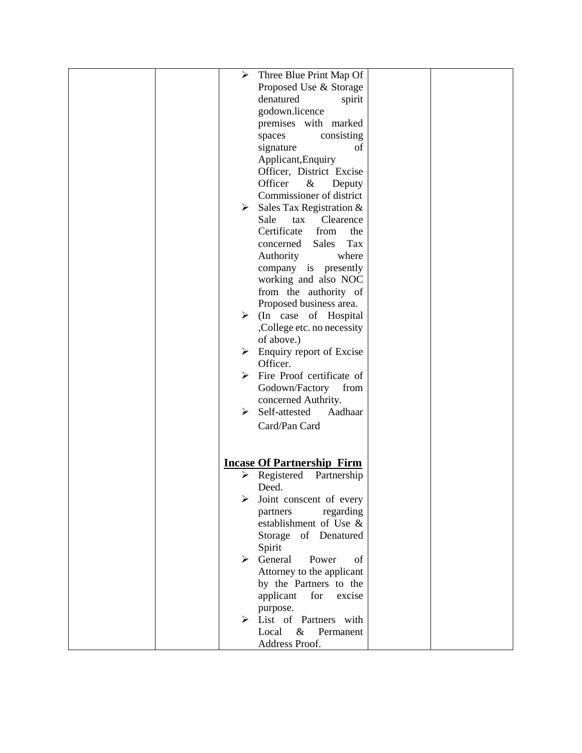|  | $\blacktriangleright$ | Three Blue Print Map Of                   |  |
|--|-----------------------|-------------------------------------------|--|
|  |                       | Proposed Use & Storage                    |  |
|  |                       | denatured<br>spirit                       |  |
|  |                       | godown.licence                            |  |
|  |                       | premises with marked                      |  |
|  |                       | consisting<br>spaces                      |  |
|  |                       | signature<br>of                           |  |
|  |                       | Applicant, Enquiry                        |  |
|  |                       | Officer, District Excise                  |  |
|  |                       | Officer<br>&<br>Deputy                    |  |
|  |                       | Commissioner of district                  |  |
|  | ≻                     | Sales Tax Registration &                  |  |
|  |                       | Sale<br>Clearence<br>tax                  |  |
|  |                       | Certificate<br>from<br>the                |  |
|  |                       | Tax<br>Sales<br>concerned                 |  |
|  |                       | Authority<br>where                        |  |
|  |                       | company is presently                      |  |
|  |                       | working and also NOC                      |  |
|  |                       | from the authority of                     |  |
|  |                       | Proposed business area.                   |  |
|  |                       | $\triangleright$ (In case of Hospital     |  |
|  |                       | ,College etc. no necessity                |  |
|  |                       | of above.)                                |  |
|  |                       | $\triangleright$ Enquiry report of Excise |  |
|  |                       | Officer.                                  |  |
|  | ≻                     | Fire Proof certificate of                 |  |
|  |                       | Godown/Factory<br>from                    |  |
|  |                       | concerned Authrity.                       |  |
|  | ≻                     | Self-attested<br>Aadhaar                  |  |
|  |                       | Card/Pan Card                             |  |
|  |                       |                                           |  |
|  |                       |                                           |  |
|  |                       | <b>Incase Of Partnership Firm</b>         |  |
|  | ≻                     | Registered Partnership                    |  |
|  |                       | Deed.                                     |  |
|  |                       | Joint conscent of every                   |  |
|  |                       | regarding<br>partners                     |  |
|  |                       | establishment of Use &                    |  |
|  |                       | Storage of Denatured                      |  |
|  |                       | Spirit                                    |  |
|  | ⋗                     | General<br>Power<br>of                    |  |
|  |                       | Attorney to the applicant                 |  |
|  |                       | by the Partners to the                    |  |
|  |                       | applicant<br>for<br>excise                |  |
|  |                       | purpose.                                  |  |
|  |                       | $\triangleright$ List of Partners with    |  |
|  |                       | $\&$<br>Permanent<br>Local                |  |
|  |                       | Address Proof.                            |  |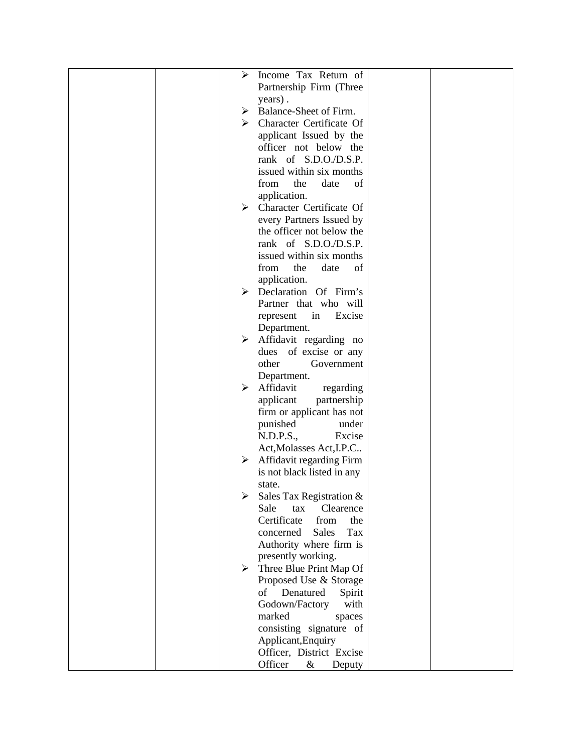|  | ➤ | Income Tax Return of                      |  |
|--|---|-------------------------------------------|--|
|  |   | Partnership Firm (Three                   |  |
|  |   | years).                                   |  |
|  |   | $\triangleright$ Balance-Sheet of Firm.   |  |
|  |   | $\triangleright$ Character Certificate Of |  |
|  |   | applicant Issued by the                   |  |
|  |   | officer not below the                     |  |
|  |   | rank of S.D.O./D.S.P.                     |  |
|  |   | issued within six months                  |  |
|  |   | of<br>from<br>the<br>date                 |  |
|  |   | application.                              |  |
|  |   | $\triangleright$ Character Certificate Of |  |
|  |   | every Partners Issued by                  |  |
|  |   | the officer not below the                 |  |
|  |   | rank of S.D.O./D.S.P.                     |  |
|  |   | issued within six months                  |  |
|  |   | the<br>from<br>date<br>of                 |  |
|  |   | application.                              |  |
|  | ≻ | Declaration Of Firm's                     |  |
|  |   | Partner that who will                     |  |
|  |   | Excise<br>represent<br>in                 |  |
|  |   | Department.                               |  |
|  | ≻ | Affidavit regarding no                    |  |
|  |   | dues of excise or any                     |  |
|  |   | other<br>Government                       |  |
|  |   | Department.                               |  |
|  | ➤ | Affidavit<br>regarding                    |  |
|  |   | applicant<br>partnership                  |  |
|  |   | firm or applicant has not                 |  |
|  |   | punished<br>under                         |  |
|  |   | N.D.P.S.,<br>Excise                       |  |
|  |   | Act, Molasses Act, I.P.C                  |  |
|  | ➤ | Affidavit regarding Firm                  |  |
|  |   | is not black listed in any                |  |
|  |   | state.                                    |  |
|  |   | Sales Tax Registration &                  |  |
|  |   | Sale<br>Clearence<br>tax                  |  |
|  |   | Certificate<br>from<br>the                |  |
|  |   | <b>Sales</b><br>Tax<br>concerned          |  |
|  |   | Authority where firm is                   |  |
|  |   | presently working.                        |  |
|  |   | $\triangleright$ Three Blue Print Map Of  |  |
|  |   | Proposed Use & Storage                    |  |
|  |   | of Denatured<br>Spirit                    |  |
|  |   | Godown/Factory<br>with                    |  |
|  |   | marked<br>spaces                          |  |
|  |   | consisting signature of                   |  |
|  |   | Applicant, Enquiry                        |  |
|  |   | Officer, District Excise                  |  |
|  |   | Officer<br>$\&$<br>Deputy                 |  |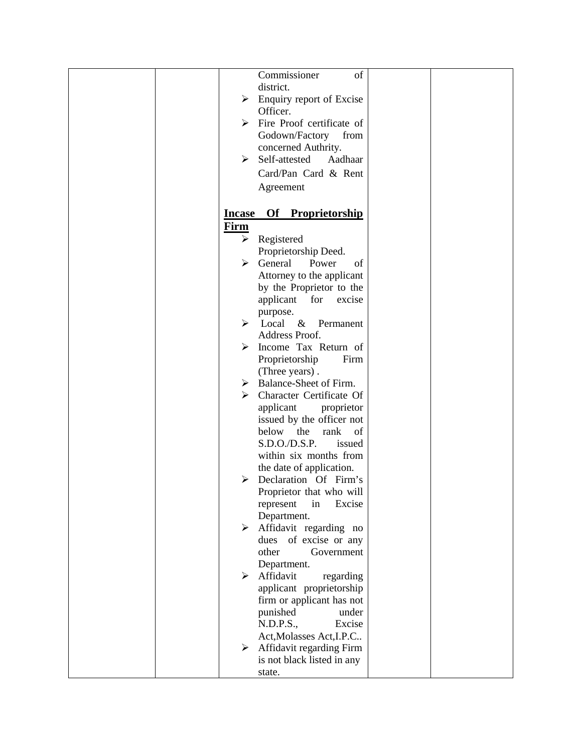|  |             | Commissioner<br>of                         |  |
|--|-------------|--------------------------------------------|--|
|  |             | district.                                  |  |
|  |             |                                            |  |
|  | ➤           | Enquiry report of Excise                   |  |
|  |             | Officer.                                   |  |
|  |             | $\triangleright$ Fire Proof certificate of |  |
|  |             | Godown/Factory<br>from                     |  |
|  |             | concerned Authrity.                        |  |
|  | ➤           | Self-attested<br>Aadhaar                   |  |
|  |             | Card/Pan Card & Rent                       |  |
|  |             |                                            |  |
|  |             | Agreement                                  |  |
|  |             | <b>Incase Of Proprietorship</b>            |  |
|  | <u>Firm</u> |                                            |  |
|  | ≻           | Registered                                 |  |
|  |             | Proprietorship Deed.                       |  |
|  | ≻           | General<br>Power<br>of                     |  |
|  |             |                                            |  |
|  |             | Attorney to the applicant                  |  |
|  |             | by the Proprietor to the                   |  |
|  |             | applicant for<br>excise                    |  |
|  |             | purpose.                                   |  |
|  |             | $\triangleright$ Local & Permanent         |  |
|  |             | Address Proof.                             |  |
|  | ⋗           | Income Tax Return of                       |  |
|  |             | Proprietorship<br>Firm                     |  |
|  |             | (Three years).                             |  |
|  |             | $\triangleright$ Balance-Sheet of Firm.    |  |
|  | ➤           | Character Certificate Of                   |  |
|  |             | applicant<br>proprietor                    |  |
|  |             | issued by the officer not                  |  |
|  |             | below<br>the<br>rank<br>of                 |  |
|  |             | S.D.O.D.S.P.<br>issued                     |  |
|  |             | within six months from                     |  |
|  |             | the date of application.                   |  |
|  |             | Declaration Of Firm's                      |  |
|  |             |                                            |  |
|  |             | Proprietor that who will                   |  |
|  |             | represent<br>in<br>Excise                  |  |
|  |             | Department.                                |  |
|  | ≻           | Affidavit regarding no                     |  |
|  |             | of excise or any<br>dues                   |  |
|  |             | other<br>Government                        |  |
|  |             | Department.                                |  |
|  | ➤           | Affidavit<br>regarding                     |  |
|  |             | applicant proprietorship                   |  |
|  |             | firm or applicant has not                  |  |
|  |             | punished<br>under                          |  |
|  |             | N.D.P.S.,<br>Excise                        |  |
|  |             | Act, Molasses Act, I.P.C                   |  |
|  | ≻           | Affidavit regarding Firm                   |  |
|  |             | is not black listed in any                 |  |
|  |             | state.                                     |  |
|  |             |                                            |  |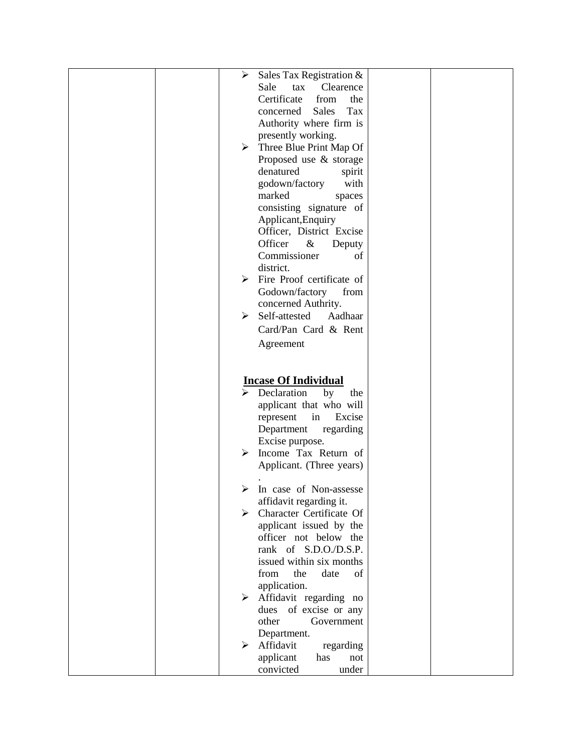|  | ➤<br>Sales Tax Registration &                           |  |
|--|---------------------------------------------------------|--|
|  | Sale<br>Clearence<br>tax                                |  |
|  | Certificate<br>from<br>the                              |  |
|  | <b>Sales</b><br>Tax<br>concerned                        |  |
|  | Authority where firm is                                 |  |
|  | presently working.                                      |  |
|  | $\triangleright$ Three Blue Print Map Of                |  |
|  | Proposed use & storage                                  |  |
|  | denatured<br>spirit                                     |  |
|  | godown/factory<br>with                                  |  |
|  | marked<br>spaces                                        |  |
|  | consisting signature of                                 |  |
|  | Applicant, Enquiry                                      |  |
|  | Officer, District Excise                                |  |
|  | Officer<br>$\&$<br>Deputy                               |  |
|  | Commissioner<br>of                                      |  |
|  | district.                                               |  |
|  | Fire Proof certificate of<br>➤                          |  |
|  | Godown/factory<br>from                                  |  |
|  | concerned Authrity.                                     |  |
|  | Self-attested<br>≻<br>Aadhaar                           |  |
|  | Card/Pan Card & Rent                                    |  |
|  | Agreement                                               |  |
|  |                                                         |  |
|  |                                                         |  |
|  | <b>Incase Of Individual</b>                             |  |
|  | Declaration<br>by<br>the                                |  |
|  | applicant that who will                                 |  |
|  | in<br>Excise<br>represent                               |  |
|  | Department<br>regarding                                 |  |
|  | Excise purpose.                                         |  |
|  | Income Tax Return of<br>⋗                               |  |
|  | Applicant. (Three years)                                |  |
|  |                                                         |  |
|  | In case of Non-assesse<br>⋗                             |  |
|  | affidavit regarding it.                                 |  |
|  | Character Certificate Of<br>≻                           |  |
|  | applicant issued by the                                 |  |
|  | officer not below the                                   |  |
|  | rank of S.D.O./D.S.P.                                   |  |
|  | issued within six months                                |  |
|  | from<br>the<br>date<br>of                               |  |
|  | application.                                            |  |
|  | Affidavit regarding no<br>≻<br>of excise or any<br>dues |  |
|  | other<br>Government                                     |  |
|  | Department.                                             |  |
|  | Affidavit<br>regarding<br>⋗                             |  |
|  |                                                         |  |
|  |                                                         |  |
|  | applicant<br>has<br>not<br>convicted<br>under           |  |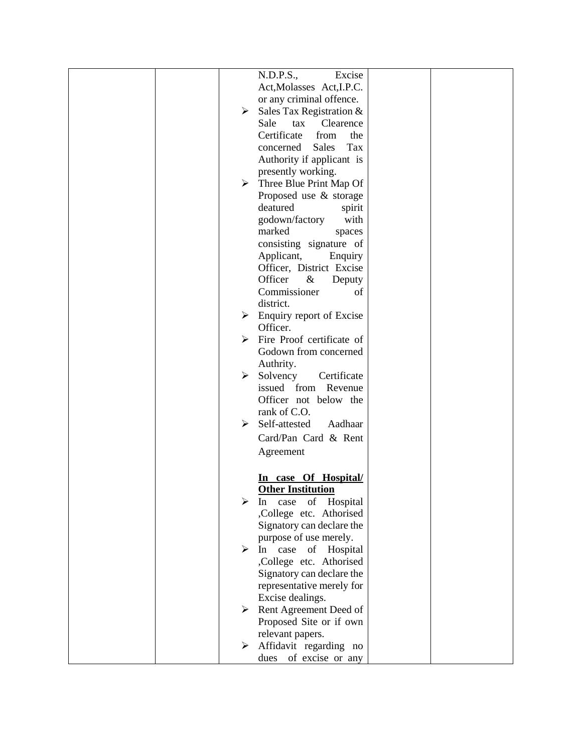|  |   | N.D.P.S.,<br>Excise                        |  |
|--|---|--------------------------------------------|--|
|  |   | Act, Molasses Act, I.P.C.                  |  |
|  |   | or any criminal offence.                   |  |
|  | ≻ | Sales Tax Registration &                   |  |
|  |   | Sale<br>Clearence<br>tax                   |  |
|  |   | Certificate<br>from<br>the                 |  |
|  |   | <b>Sales</b><br>Tax<br>concerned           |  |
|  |   | Authority if applicant is                  |  |
|  |   | presently working.                         |  |
|  |   | $\triangleright$ Three Blue Print Map Of   |  |
|  |   | Proposed use & storage                     |  |
|  |   | deatured<br>spirit                         |  |
|  |   | godown/factory<br>with                     |  |
|  |   | marked<br>spaces                           |  |
|  |   | consisting signature of                    |  |
|  |   | Applicant,<br>Enquiry                      |  |
|  |   | Officer, District Excise                   |  |
|  |   | Officer<br>$\&$<br>Deputy                  |  |
|  |   | Commissioner<br>of                         |  |
|  |   | district.                                  |  |
|  | ≻ | Enquiry report of Excise                   |  |
|  |   | Officer.                                   |  |
|  |   | $\triangleright$ Fire Proof certificate of |  |
|  |   | Godown from concerned                      |  |
|  |   | Authrity.                                  |  |
|  | ≻ | Solvency<br>Certificate                    |  |
|  |   | issued<br>from<br>Revenue                  |  |
|  |   | Officer not below the                      |  |
|  |   | rank of C.O.                               |  |
|  | ➤ | Self-attested<br>Aadhaar                   |  |
|  |   | Card/Pan Card & Rent                       |  |
|  |   | Agreement                                  |  |
|  |   |                                            |  |
|  |   | In case Of Hospital/                       |  |
|  |   | <b>Other Institution</b>                   |  |
|  |   | Hospital<br>of<br>case<br>In               |  |
|  |   | ,College etc. Athorised                    |  |
|  |   | Signatory can declare the                  |  |
|  |   | purpose of use merely.                     |  |
|  | ≻ | In<br>case<br>of Hospital                  |  |
|  |   | ,College etc. Athorised                    |  |
|  |   | Signatory can declare the                  |  |
|  |   | representative merely for                  |  |
|  |   | Excise dealings.                           |  |
|  | ≻ | Rent Agreement Deed of                     |  |
|  |   | Proposed Site or if own                    |  |
|  |   | relevant papers.                           |  |
|  |   | Affidavit regarding no                     |  |
|  |   | dues of excise or any                      |  |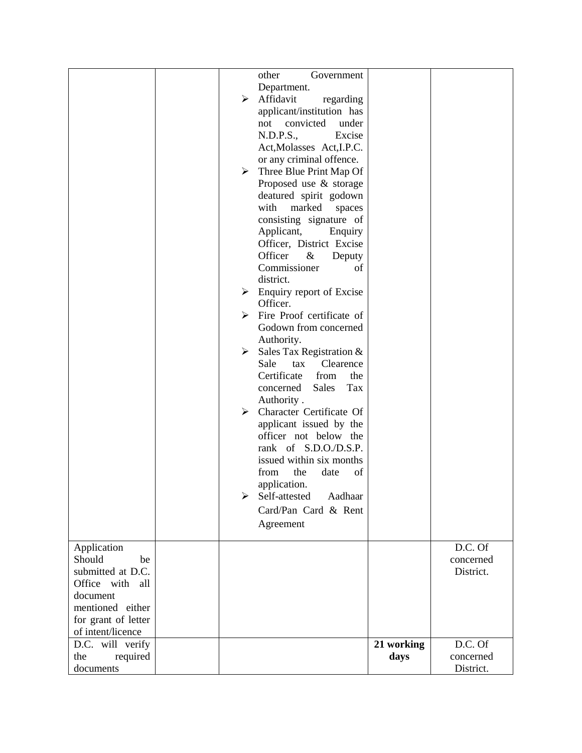|                     |                       | other<br>Government                        |            |           |
|---------------------|-----------------------|--------------------------------------------|------------|-----------|
|                     |                       |                                            |            |           |
|                     |                       | Department.                                |            |           |
|                     | ≻                     | Affidavit<br>regarding                     |            |           |
|                     |                       | applicant/institution has                  |            |           |
|                     |                       | convicted<br>under<br>not                  |            |           |
|                     |                       | N.D.P.S.,<br>Excise                        |            |           |
|                     |                       | Act, Molasses Act, I.P.C.                  |            |           |
|                     |                       | or any criminal offence.                   |            |           |
|                     | ≻                     | Three Blue Print Map Of                    |            |           |
|                     |                       | Proposed use & storage                     |            |           |
|                     |                       | deatured spirit godown                     |            |           |
|                     |                       | with<br>marked<br>spaces                   |            |           |
|                     |                       | consisting signature of                    |            |           |
|                     |                       |                                            |            |           |
|                     |                       | Applicant,<br>Enquiry                      |            |           |
|                     |                       | Officer, District Excise                   |            |           |
|                     |                       | Officer<br>$\&$<br>Deputy                  |            |           |
|                     |                       | Commissioner<br>of                         |            |           |
|                     |                       | district.                                  |            |           |
|                     | ➤                     | Enquiry report of Excise                   |            |           |
|                     |                       | Officer.                                   |            |           |
|                     |                       | $\triangleright$ Fire Proof certificate of |            |           |
|                     |                       | Godown from concerned                      |            |           |
|                     |                       | Authority.                                 |            |           |
|                     | ≻                     | Sales Tax Registration &                   |            |           |
|                     |                       | Clearence<br>Sale<br>tax                   |            |           |
|                     |                       | Certificate<br>from<br>the                 |            |           |
|                     |                       | Sales<br>Tax<br>concerned                  |            |           |
|                     |                       | Authority.                                 |            |           |
|                     | $\blacktriangleright$ | Character Certificate Of                   |            |           |
|                     |                       | applicant issued by the                    |            |           |
|                     |                       |                                            |            |           |
|                     |                       | officer not below the                      |            |           |
|                     |                       | rank of S.D.O./D.S.P.                      |            |           |
|                     |                       | issued within six months                   |            |           |
|                     |                       | the<br>from<br>date<br>of                  |            |           |
|                     |                       | application.                               |            |           |
|                     | ⋗                     | Self-attested<br>Aadhaar                   |            |           |
|                     |                       | Card/Pan Card & Rent                       |            |           |
|                     |                       | Agreement                                  |            |           |
|                     |                       |                                            |            |           |
| Application         |                       |                                            |            | D.C. Of   |
| Should<br>be        |                       |                                            |            | concerned |
| submitted at D.C.   |                       |                                            |            | District. |
| Office with all     |                       |                                            |            |           |
| document            |                       |                                            |            |           |
| mentioned either    |                       |                                            |            |           |
| for grant of letter |                       |                                            |            |           |
| of intent/licence   |                       |                                            |            |           |
| D.C. will verify    |                       |                                            | 21 working | D.C. Of   |
| the<br>required     |                       |                                            | days       | concerned |
| documents           |                       |                                            |            | District. |
|                     |                       |                                            |            |           |